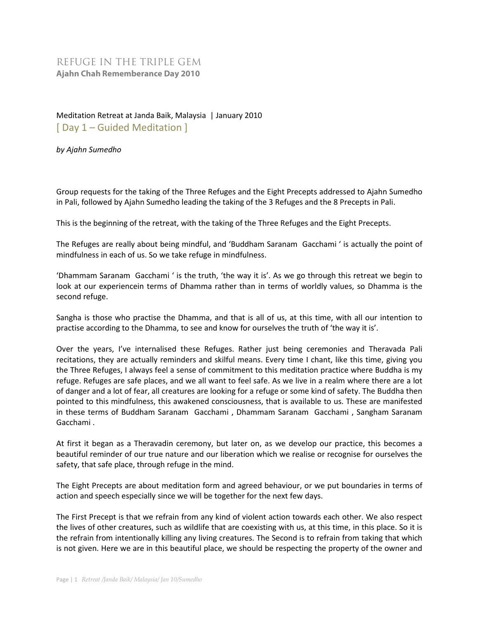## REFUGE IN THE TRIPLE GEM **Ajahn Chah Rememberance Day 2010**

## Meditation Retreat at Janda Baik, Malaysia | January 2010 [ Day 1 – Guided Meditation ]

*by Ajahn Sumedho* 

Group requests for the taking of the Three Refuges and the Eight Precepts addressed to Ajahn Sumedho in Pali, followed by Ajahn Sumedho leading the taking of the 3 Refuges and the 8 Precepts in Pali.

This is the beginning of the retreat, with the taking of the Three Refuges and the Eight Precepts.

The Refuges are really about being mindful, and 'Buddham Saranam Gacchami ' is actually the point of mindfulness in each of us. So we take refuge in mindfulness.

'Dhammam Saranam Gacchami ' is the truth, 'the way it is'. As we go through this retreat we begin to look at our experiencein terms of Dhamma rather than in terms of worldly values, so Dhamma is the second refuge.

Sangha is those who practise the Dhamma, and that is all of us, at this time, with all our intention to practise according to the Dhamma, to see and know for ourselves the truth of 'the way it is'.

Over the years, I've internalised these Refuges. Rather just being ceremonies and Theravada Pali recitations, they are actually reminders and skilful means. Every time I chant, like this time, giving you the Three Refuges, I always feel a sense of commitment to this meditation practice where Buddha is my refuge. Refuges are safe places, and we all want to feel safe. As we live in a realm where there are a lot of danger and a lot of fear, all creatures are looking for a refuge or some kind of safety. The Buddha then pointed to this mindfulness, this awakened consciousness, that is available to us. These are manifested in these terms of Buddham Saranam Gacchami , Dhammam Saranam Gacchami , Sangham Saranam Gacchami .

At first it began as a Theravadin ceremony, but later on, as we develop our practice, this becomes a beautiful reminder of our true nature and our liberation which we realise or recognise for ourselves the safety, that safe place, through refuge in the mind.

The Eight Precepts are about meditation form and agreed behaviour, or we put boundaries in terms of action and speech especially since we will be together for the next few days.

The First Precept is that we refrain from any kind of violent action towards each other. We also respect the lives of other creatures, such as wildlife that are coexisting with us, at this time, in this place. So it is the refrain from intentionally killing any living creatures. The Second is to refrain from taking that which is not given. Here we are in this beautiful place, we should be respecting the property of the owner and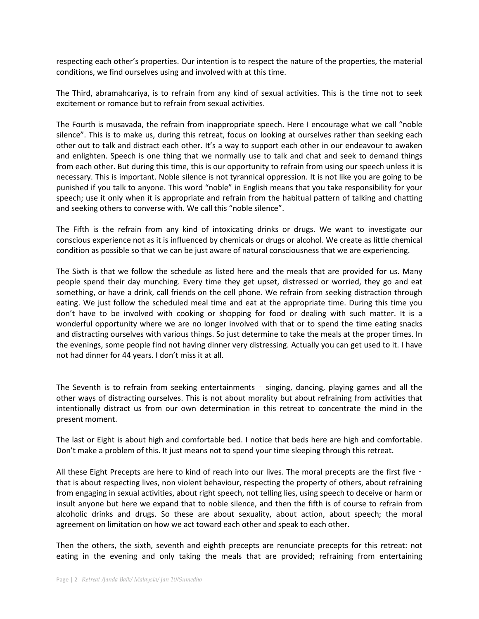respecting each other's properties. Our intention is to respect the nature of the properties, the material conditions, we find ourselves using and involved with at this time.

The Third, abramahcariya, is to refrain from any kind of sexual activities. This is the time not to seek excitement or romance but to refrain from sexual activities.

The Fourth is musavada, the refrain from inappropriate speech. Here I encourage what we call "noble silence". This is to make us, during this retreat, focus on looking at ourselves rather than seeking each other out to talk and distract each other. It's a way to support each other in our endeavour to awaken and enlighten. Speech is one thing that we normally use to talk and chat and seek to demand things from each other. But during this time, this is our opportunity to refrain from using our speech unless it is necessary. This is important. Noble silence is not tyrannical oppression. It is not like you are going to be punished if you talk to anyone. This word "noble" in English means that you take responsibility for your speech; use it only when it is appropriate and refrain from the habitual pattern of talking and chatting and seeking others to converse with. We call this "noble silence".

The Fifth is the refrain from any kind of intoxicating drinks or drugs. We want to investigate our conscious experience not as it is influenced by chemicals or drugs or alcohol. We create as little chemical condition as possible so that we can be just aware of natural consciousness that we are experiencing.

The Sixth is that we follow the schedule as listed here and the meals that are provided for us. Many people spend their day munching. Every time they get upset, distressed or worried, they go and eat something, or have a drink, call friends on the cell phone. We refrain from seeking distraction through eating. We just follow the scheduled meal time and eat at the appropriate time. During this time you don't have to be involved with cooking or shopping for food or dealing with such matter. It is a wonderful opportunity where we are no longer involved with that or to spend the time eating snacks and distracting ourselves with various things. So just determine to take the meals at the proper times. In the evenings, some people find not having dinner very distressing. Actually you can get used to it. I have not had dinner for 44 years. I don't miss it at all.

The Seventh is to refrain from seeking entertainments ‑ singing, dancing, playing games and all the other ways of distracting ourselves. This is not about morality but about refraining from activities that intentionally distract us from our own determination in this retreat to concentrate the mind in the present moment.

The last or Eight is about high and comfortable bed. I notice that beds here are high and comfortable. Don't make a problem of this. It just means not to spend your time sleeping through this retreat.

All these Eight Precepts are here to kind of reach into our lives. The moral precepts are the first five – that is about respecting lives, non violent behaviour, respecting the property of others, about refraining from engaging in sexual activities, about right speech, not telling lies, using speech to deceive or harm or insult anyone but here we expand that to noble silence, and then the fifth is of course to refrain from alcoholic drinks and drugs. So these are about sexuality, about action, about speech; the moral agreement on limitation on how we act toward each other and speak to each other.

Then the others, the sixth, seventh and eighth precepts are renunciate precepts for this retreat: not eating in the evening and only taking the meals that are provided; refraining from entertaining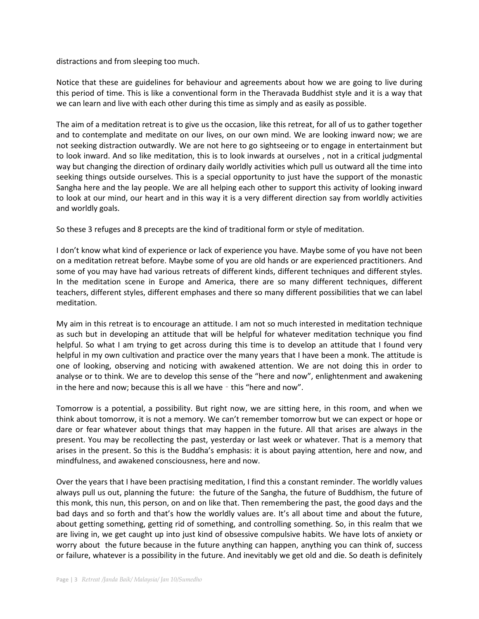distractions and from sleeping too much.

Notice that these are guidelines for behaviour and agreements about how we are going to live during this period of time. This is like a conventional form in the Theravada Buddhist style and it is a way that we can learn and live with each other during this time as simply and as easily as possible.

The aim of a meditation retreat is to give us the occasion, like this retreat, for all of us to gather together and to contemplate and meditate on our lives, on our own mind. We are looking inward now; we are not seeking distraction outwardly. We are not here to go sightseeing or to engage in entertainment but to look inward. And so like meditation, this is to look inwards at ourselves , not in a critical judgmental way but changing the direction of ordinary daily worldly activities which pull us outward all the time into seeking things outside ourselves. This is a special opportunity to just have the support of the monastic Sangha here and the lay people. We are all helping each other to support this activity of looking inward to look at our mind, our heart and in this way it is a very different direction say from worldly activities and worldly goals.

So these 3 refuges and 8 precepts are the kind of traditional form or style of meditation.

I don't know what kind of experience or lack of experience you have. Maybe some of you have not been on a meditation retreat before. Maybe some of you are old hands or are experienced practitioners. And some of you may have had various retreats of different kinds, different techniques and different styles. In the meditation scene in Europe and America, there are so many different techniques, different teachers, different styles, different emphases and there so many different possibilities that we can label meditation.

My aim in this retreat is to encourage an attitude. I am not so much interested in meditation technique as such but in developing an attitude that will be helpful for whatever meditation technique you find helpful. So what I am trying to get across during this time is to develop an attitude that I found very helpful in my own cultivation and practice over the many years that I have been a monk. The attitude is one of looking, observing and noticing with awakened attention. We are not doing this in order to analyse or to think. We are to develop this sense of the "here and now", enlightenment and awakening in the here and now; because this is all we have - this "here and now".

Tomorrow is a potential, a possibility. But right now, we are sitting here, in this room, and when we think about tomorrow, it is not a memory. We can't remember tomorrow but we can expect or hope or dare or fear whatever about things that may happen in the future. All that arises are always in the present. You may be recollecting the past, yesterday or last week or whatever. That is a memory that arises in the present. So this is the Buddha's emphasis: it is about paying attention, here and now, and mindfulness, and awakened consciousness, here and now.

Over the years that I have been practising meditation, I find this a constant reminder. The worldly values always pull us out, planning the future: the future of the Sangha, the future of Buddhism, the future of this monk, this nun, this person, on and on like that. Then remembering the past, the good days and the bad days and so forth and that's how the worldly values are. It's all about time and about the future, about getting something, getting rid of something, and controlling something. So, in this realm that we are living in, we get caught up into just kind of obsessive compulsive habits. We have lots of anxiety or worry about the future because in the future anything can happen, anything you can think of, success or failure, whatever is a possibility in the future. And inevitably we get old and die. So death is definitely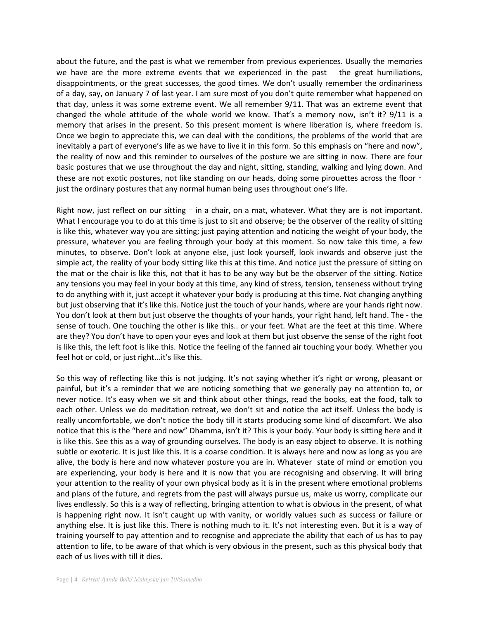about the future, and the past is what we remember from previous experiences. Usually the memories we have are the more extreme events that we experienced in the past  $-$  the great humiliations, disappointments, or the great successes, the good times. We don't usually remember the ordinariness of a day, say, on January 7 of last year. I am sure most of you don't quite remember what happened on that day, unless it was some extreme event. We all remember 9/11. That was an extreme event that changed the whole attitude of the whole world we know. That's a memory now, isn't it? 9/11 is a memory that arises in the present. So this present moment is where liberation is, where freedom is. Once we begin to appreciate this, we can deal with the conditions, the problems of the world that are inevitably a part of everyone's life as we have to live it in this form. So this emphasis on "here and now", the reality of now and this reminder to ourselves of the posture we are sitting in now. There are four basic postures that we use throughout the day and night, sitting, standing, walking and lying down. And these are not exotic postures, not like standing on our heads, doing some pirouettes across the floor – just the ordinary postures that any normal human being uses throughout one's life.

Right now, just reflect on our sitting - in a chair, on a mat, whatever. What they are is not important. What I encourage you to do at this time is just to sit and observe; be the observer of the reality of sitting is like this, whatever way you are sitting; just paying attention and noticing the weight of your body, the pressure, whatever you are feeling through your body at this moment. So now take this time, a few minutes, to observe. Don't look at anyone else, just look yourself, look inwards and observe just the simple act, the reality of your body sitting like this at this time. And notice just the pressure of sitting on the mat or the chair is like this, not that it has to be any way but be the observer of the sitting. Notice any tensions you may feel in your body at this time, any kind of stress, tension, tenseness without trying to do anything with it, just accept it whatever your body is producing at this time. Not changing anything but just observing that it's like this. Notice just the touch of your hands, where are your hands right now. You don't look at them but just observe the thoughts of your hands, your right hand, left hand. The - the sense of touch. One touching the other is like this.. or your feet. What are the feet at this time. Where are they? You don't have to open your eyes and look at them but just observe the sense of the right foot is like this, the left foot is like this. Notice the feeling of the fanned air touching your body. Whether you feel hot or cold, or just right...it's like this.

So this way of reflecting like this is not judging. It's not saying whether it's right or wrong, pleasant or painful, but it's a reminder that we are noticing something that we generally pay no attention to, or never notice. It's easy when we sit and think about other things, read the books, eat the food, talk to each other. Unless we do meditation retreat, we don't sit and notice the act itself. Unless the body is really uncomfortable, we don't notice the body till it starts producing some kind of discomfort. We also notice that this is the "here and now" Dhamma, isn't it? This is your body. Your body is sitting here and it is like this. See this as a way of grounding ourselves. The body is an easy object to observe. It is nothing subtle or exoteric. It is just like this. It is a coarse condition. It is always here and now as long as you are alive, the body is here and now whatever posture you are in. Whatever state of mind or emotion you are experiencing, your body is here and it is now that you are recognising and observing. It will bring your attention to the reality of your own physical body as it is in the present where emotional problems and plans of the future, and regrets from the past will always pursue us, make us worry, complicate our lives endlessly. So this is a way of reflecting, bringing attention to what is obvious in the present, of what is happening right now. It isn't caught up with vanity, or worldly values such as success or failure or anything else. It is just like this. There is nothing much to it. It's not interesting even. But it is a way of training yourself to pay attention and to recognise and appreciate the ability that each of us has to pay attention to life, to be aware of that which is very obvious in the present, such as this physical body that each of us lives with till it dies.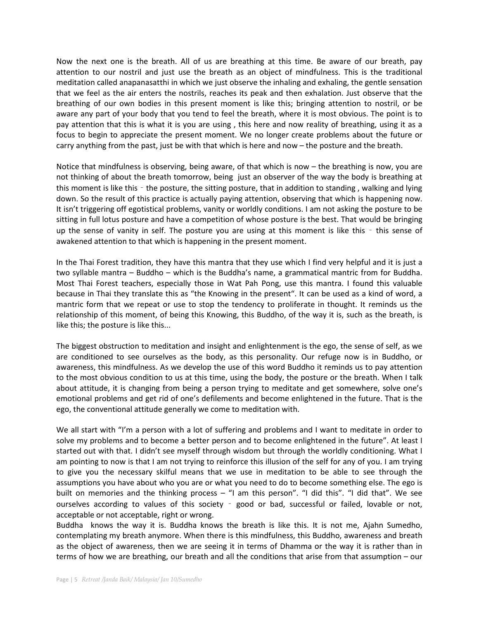Now the next one is the breath. All of us are breathing at this time. Be aware of our breath, pay attention to our nostril and just use the breath as an object of mindfulness. This is the traditional meditation called anapanasatthi in which we just observe the inhaling and exhaling, the gentle sensation that we feel as the air enters the nostrils, reaches its peak and then exhalation. Just observe that the breathing of our own bodies in this present moment is like this; bringing attention to nostril, or be aware any part of your body that you tend to feel the breath, where it is most obvious. The point is to pay attention that this is what it is you are using , this here and now reality of breathing, using it as a focus to begin to appreciate the present moment. We no longer create problems about the future or carry anything from the past, just be with that which is here and now – the posture and the breath.

Notice that mindfulness is observing, being aware, of that which is now – the breathing is now, you are not thinking of about the breath tomorrow, being just an observer of the way the body is breathing at this moment is like this ‑ the posture, the sitting posture, that in addition to standing , walking and lying down. So the result of this practice is actually paying attention, observing that which is happening now. It isn't triggering off egotistical problems, vanity or worldly conditions. I am not asking the posture to be sitting in full lotus posture and have a competition of whose posture is the best. That would be bringing up the sense of vanity in self. The posture you are using at this moment is like this - this sense of awakened attention to that which is happening in the present moment.

In the Thai Forest tradition, they have this mantra that they use which I find very helpful and it is just a two syllable mantra – Buddho – which is the Buddha's name, a grammatical mantric from for Buddha. Most Thai Forest teachers, especially those in Wat Pah Pong, use this mantra. I found this valuable because in Thai they translate this as "the Knowing in the present". It can be used as a kind of word, a mantric form that we repeat or use to stop the tendency to proliferate in thought. It reminds us the relationship of this moment, of being this Knowing, this Buddho, of the way it is, such as the breath, is like this; the posture is like this...

The biggest obstruction to meditation and insight and enlightenment is the ego, the sense of self, as we are conditioned to see ourselves as the body, as this personality. Our refuge now is in Buddho, or awareness, this mindfulness. As we develop the use of this word Buddho it reminds us to pay attention to the most obvious condition to us at this time, using the body, the posture or the breath. When I talk about attitude, it is changing from being a person trying to meditate and get somewhere, solve one's emotional problems and get rid of one's defilements and become enlightened in the future. That is the ego, the conventional attitude generally we come to meditation with.

We all start with "I'm a person with a lot of suffering and problems and I want to meditate in order to solve my problems and to become a better person and to become enlightened in the future". At least I started out with that. I didn't see myself through wisdom but through the worldly conditioning. What I am pointing to now is that I am not trying to reinforce this illusion of the self for any of you. I am trying to give you the necessary skilful means that we use in meditation to be able to see through the assumptions you have about who you are or what you need to do to become something else. The ego is built on memories and the thinking process – "I am this person". "I did this". "I did that". We see ourselves according to values of this society - good or bad, successful or failed, lovable or not, acceptable or not acceptable, right or wrong.

Buddha knows the way it is. Buddha knows the breath is like this. It is not me, Ajahn Sumedho, contemplating my breath anymore. When there is this mindfulness, this Buddho, awareness and breath as the object of awareness, then we are seeing it in terms of Dhamma or the way it is rather than in terms of how we are breathing, our breath and all the conditions that arise from that assumption – our